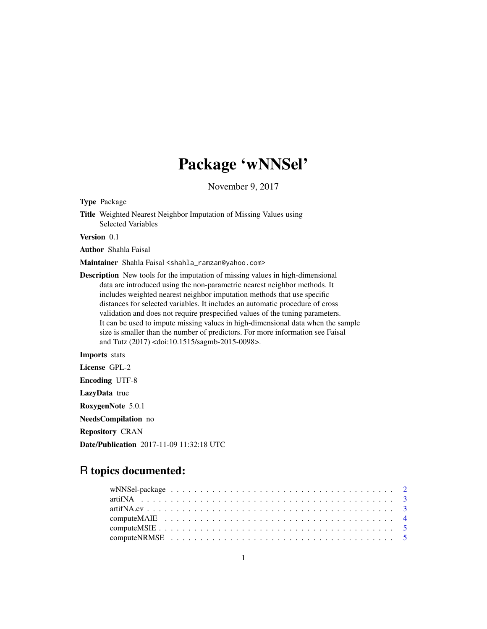## Package 'wNNSel'

November 9, 2017

Type Package

Title Weighted Nearest Neighbor Imputation of Missing Values using Selected Variables

Version 0.1

Author Shahla Faisal

Maintainer Shahla Faisal <shahla\_ramzan@yahoo.com>

Description New tools for the imputation of missing values in high-dimensional data are introduced using the non-parametric nearest neighbor methods. It includes weighted nearest neighbor imputation methods that use specific distances for selected variables. It includes an automatic procedure of cross validation and does not require prespecified values of the tuning parameters. It can be used to impute missing values in high-dimensional data when the sample size is smaller than the number of predictors. For more information see Faisal and Tutz (2017) <doi:10.1515/sagmb-2015-0098>.

Imports stats

License GPL-2

Encoding UTF-8

LazyData true

RoxygenNote 5.0.1

NeedsCompilation no

Repository CRAN

Date/Publication 2017-11-09 11:32:18 UTC

## R topics documented: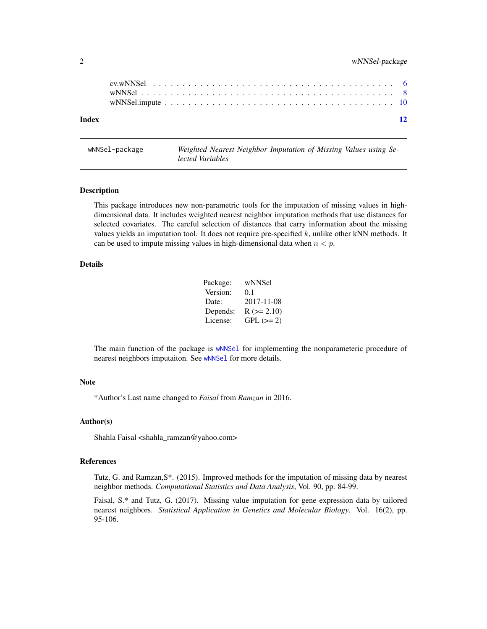<span id="page-1-0"></span>

| Index |  |  |  |  |  |  |  |  |  |  |  |  |  |  |  |  | $\overline{12}$ |
|-------|--|--|--|--|--|--|--|--|--|--|--|--|--|--|--|--|-----------------|
|       |  |  |  |  |  |  |  |  |  |  |  |  |  |  |  |  |                 |
|       |  |  |  |  |  |  |  |  |  |  |  |  |  |  |  |  |                 |

wNNSel-package *Weighted Nearest Neighbor Imputation of Missing Values using Selected Variables*

#### Description

This package introduces new non-parametric tools for the imputation of missing values in highdimensional data. It includes weighted nearest neighbor imputation methods that use distances for selected covariates. The careful selection of distances that carry information about the missing values yields an imputation tool. It does not require pre-specified  $k$ , unlike other kNN methods. It can be used to impute missing values in high-dimensional data when  $n < p$ .

#### Details

| Package: | wNNSel       |
|----------|--------------|
| Version: | 0.1          |
| Date:    | 2017-11-08   |
| Depends: | $R (= 2.10)$ |
| License: | $GPL (=2)$   |

The main function of the package is [wNNSel](#page-7-1) for implementing the nonparameteric procedure of nearest neighbors imputaiton. See [wNNSel](#page-7-1) for more details.

#### Note

\*Author's Last name changed to *Faisal* from *Ramzan* in 2016.

#### Author(s)

Shahla Faisal <shahla\_ramzan@yahoo.com>

#### References

Tutz, G. and Ramzan,S\*. (2015). Improved methods for the imputation of missing data by nearest neighbor methods. *Computational Statistics and Data Analysis*, Vol. 90, pp. 84-99.

Faisal, S.\* and Tutz, G. (2017). Missing value imputation for gene expression data by tailored nearest neighbors. *Statistical Application in Genetics and Molecular Biology*. Vol. 16(2), pp. 95-106.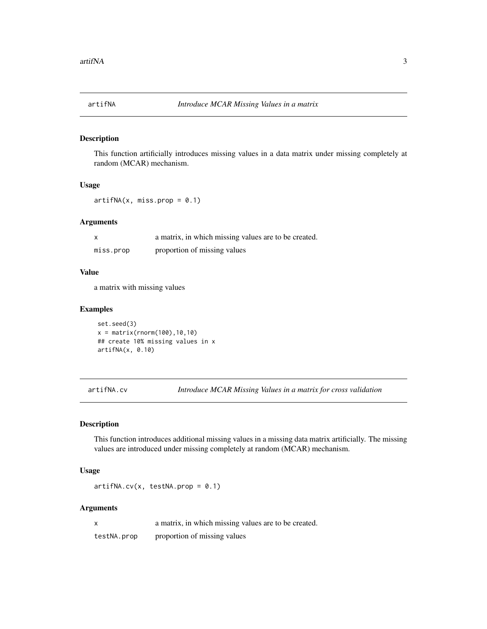<span id="page-2-0"></span>

#### Description

This function artificially introduces missing values in a data matrix under missing completely at random (MCAR) mechanism.

#### Usage

 $artifNA(x, miss.prop = 0.1)$ 

#### Arguments

|           | a matrix, in which missing values are to be created. |
|-----------|------------------------------------------------------|
| miss.prop | proportion of missing values                         |

#### Value

a matrix with missing values

#### Examples

set.seed(3)  $x = matrix(rnorm(100), 10, 10)$ ## create 10% missing values in x artifNA(x, 0.10)

<span id="page-2-1"></span>artifNA.cv *Introduce MCAR Missing Values in a matrix for cross validation*

#### Description

This function introduces additional missing values in a missing data matrix artificially. The missing values are introduced under missing completely at random (MCAR) mechanism.

#### Usage

 $artifNA.cv(x, testNA.prop = 0.1)$ 

#### Arguments

x a matrix, in which missing values are to be created. testNA.prop proportion of missing values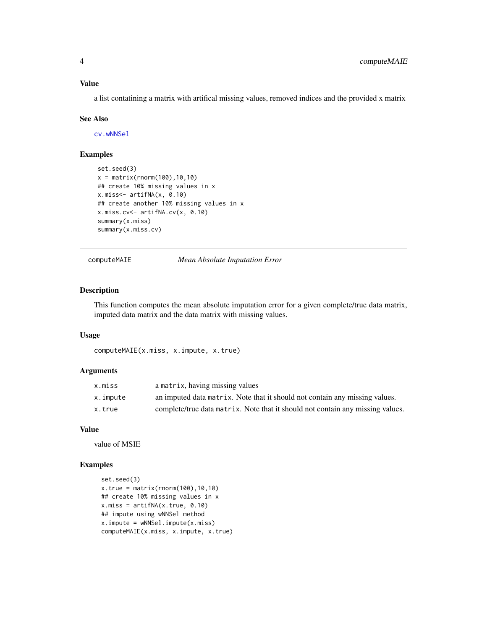<span id="page-3-0"></span>a list contatining a matrix with artifical missing values, removed indices and the provided x matrix

#### See Also

[cv.wNNSel](#page-5-1)

#### Examples

```
set.seed(3)
x = matrix(rnorm(100), 10, 10)## create 10% missing values in x
x.miss<- artifNA(x, 0.10)
## create another 10% missing values in x
x.miss.cv<- artifNA.cv(x, 0.10)
summary(x.miss)
summary(x.miss.cv)
```
computeMAIE *Mean Absolute Imputation Error*

#### Description

This function computes the mean absolute imputation error for a given complete/true data matrix, imputed data matrix and the data matrix with missing values.

#### Usage

```
computeMAIE(x.miss, x.impute, x.true)
```
#### Arguments

| x.miss   | a matrix, having missing values                                                |
|----------|--------------------------------------------------------------------------------|
| x.impute | an imputed data matrix. Note that it should not contain any missing values.    |
| x.true   | complete/true data matrix. Note that it should not contain any missing values. |

#### Value

value of MSIE

#### Examples

```
set.seed(3)
x.true = matrix(rnorm(100),10,10)
## create 10% missing values in x
x.miss = artifNA(x,true, 0.10)## impute using wNNSel method
x.impute = wNNSel.impute(x.miss)
computeMAIE(x.miss, x.impute, x.true)
```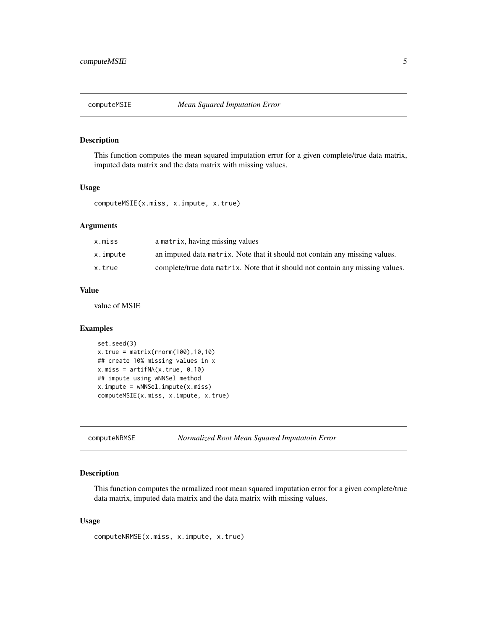<span id="page-4-0"></span>

#### Description

This function computes the mean squared imputation error for a given complete/true data matrix, imputed data matrix and the data matrix with missing values.

#### Usage

```
computeMSIE(x.miss, x.impute, x.true)
```
#### Arguments

| x.miss   | a matrix, having missing values                                                |
|----------|--------------------------------------------------------------------------------|
| x.impute | an imputed data matrix. Note that it should not contain any missing values.    |
| x.true   | complete/true data matrix. Note that it should not contain any missing values. |

#### Value

value of MSIE

#### Examples

```
set.seed(3)
x.true = matrix(rnorm(100),10,10)
## create 10% missing values in x
x.miss = artifNA(x,true, 0.10)## impute using wNNSel method
x.impute = wNNSel.impute(x.miss)
computeMSIE(x.miss, x.impute, x.true)
```
computeNRMSE *Normalized Root Mean Squared Imputatoin Error*

#### Description

This function computes the nrmalized root mean squared imputation error for a given complete/true data matrix, imputed data matrix and the data matrix with missing values.

#### Usage

```
computeNRMSE(x.miss, x.impute, x.true)
```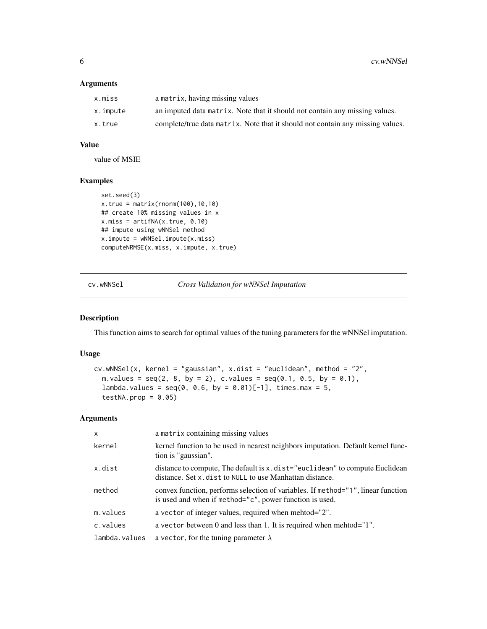#### <span id="page-5-0"></span>Arguments

| x.miss   | a matrix, having missing values                                                |
|----------|--------------------------------------------------------------------------------|
| x.impute | an imputed data matrix. Note that it should not contain any missing values.    |
| x.true   | complete/true data matrix. Note that it should not contain any missing values. |

#### Value

value of MSIE

#### Examples

```
set.seed(3)
x.true = matrix(rnorm(100),10,10)
## create 10% missing values in x
x.miss = artifNA(x.true, 0.10)
## impute using wNNSel method
x.impute = wNNSel.impute(x.miss)
computeNRMSE(x.miss, x.impute, x.true)
```
<span id="page-5-1"></span>cv.wNNSel *Cross Validation for wNNSel Imputation*

#### Description

This function aims to search for optimal values of the tuning parameters for the wNNSel imputation.

#### Usage

```
cv.wNNSel(x, kernel = "gaussian", x.dist = "euclidean", method = "2",
 m.values = seq(2, 8, by = 2), c.values = seq(0.1, 0.5, by = 0.1),lambda.values = seq(0, 0.6, by = 0.01)[-1], times.max = 5,testNA.prop = 0.05)
```
#### Arguments

| $\times$      | a matrix containing missing values                                                                                                          |
|---------------|---------------------------------------------------------------------------------------------------------------------------------------------|
| kernel        | kernel function to be used in nearest neighbors imputation. Default kernel func-<br>tion is "gaussian".                                     |
| x.dist        | distance to compute, The default is x.dist="euclidean" to compute Euclidean<br>distance. Set x dist to NULL to use Manhattan distance.      |
| method        | convex function, performs selection of variables. If method="1", linear function<br>is used and when if method="c", power function is used. |
| m.values      | a vector of integer values, required when mehtod="2".                                                                                       |
| c.values      | a vector between 0 and less than 1. It is required when mehtod= $1$ ".                                                                      |
| lambda.values | a vector, for the tuning parameter $\lambda$                                                                                                |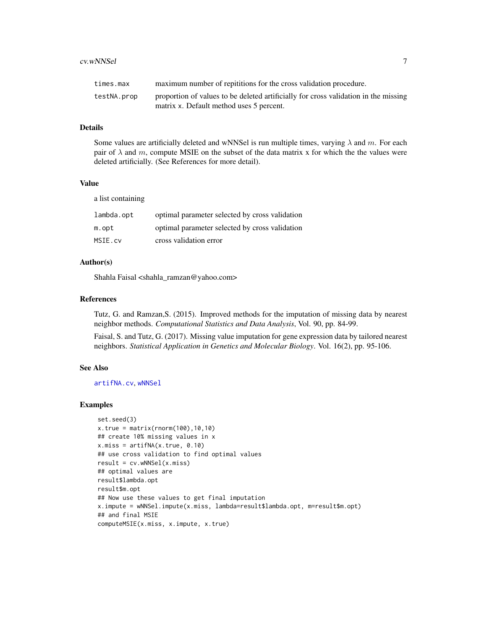#### <span id="page-6-0"></span>cv.wNNSel 7

| times.max   | maximum number of repititions for the cross validation procedure.                                                               |
|-------------|---------------------------------------------------------------------------------------------------------------------------------|
| testNA.prop | proportion of values to be deleted artificially for cross validation in the missing<br>matrix x. Default method uses 5 percent. |

#### Details

Some values are artificially deleted and wNNSel is run multiple times, varying  $\lambda$  and m. For each pair of  $\lambda$  and m, compute MSIE on the subset of the data matrix x for which the the values were deleted artificially. (See References for more detail).

#### Value

a list containing

| lambda.opt | optimal parameter selected by cross validation |
|------------|------------------------------------------------|
| m.opt      | optimal parameter selected by cross validation |
| MSIE.cv    | cross validation error                         |

#### Author(s)

Shahla Faisal <shahla\_ramzan@yahoo.com>

#### References

Tutz, G. and Ramzan,S. (2015). Improved methods for the imputation of missing data by nearest neighbor methods. *Computational Statistics and Data Analysis*, Vol. 90, pp. 84-99.

Faisal, S. and Tutz, G. (2017). Missing value imputation for gene expression data by tailored nearest neighbors. *Statistical Application in Genetics and Molecular Biology*. Vol. 16(2), pp. 95-106.

#### See Also

[artifNA.cv](#page-2-1), [wNNSel](#page-7-1)

#### Examples

```
set.seed(3)
x.true = matrix(rnorm(100), 10, 10)## create 10% missing values in x
x.miss = artifNA(x.true, 0.10)
## use cross validation to find optimal values
result = cv.wNNSel(x.miss)
## optimal values are
result$lambda.opt
result$m.opt
## Now use these values to get final imputation
x.impute = wNNSel.impute(x.miss, lambda=result$lambda.opt, m=result$m.opt)
## and final MSIE
computeMSIE(x.miss, x.impute, x.true)
```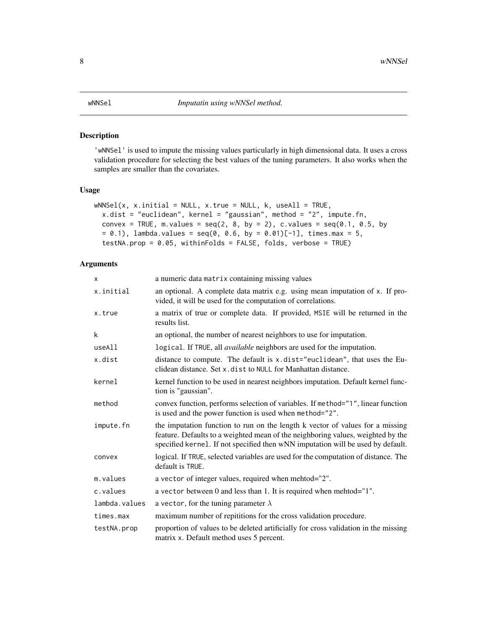#### <span id="page-7-1"></span><span id="page-7-0"></span>Description

'wNNSel' is used to impute the missing values particularly in high dimensional data. It uses a cross validation procedure for selecting the best values of the tuning parameters. It also works when the samples are smaller than the covariates.

#### Usage

```
wNNSel(x, x.inital = NULL, x.true = NULL, k, used 1 = TRUE,x.dist = "euclidean", kernel = "gaussian", method = "2", impute.fn,
 convex = TRUE, m.values = seq(2, 8, by = 2), c.values = seq(0.1, 0.5, by= 0.1), lambda.values = seq(0, 0.6, by = 0.01)[-1], times.max = 5,
 testNA.prop = 0.05, withinFolds = FALSE, folds, verbose = TRUE)
```
#### Arguments

| x             | a numeric data matrix containing missing values                                                                                                                                                                                                     |
|---------------|-----------------------------------------------------------------------------------------------------------------------------------------------------------------------------------------------------------------------------------------------------|
| x.initial     | an optional. A complete data matrix e.g. using mean imputation of x. If pro-<br>vided, it will be used for the computation of correlations.                                                                                                         |
| x.true        | a matrix of true or complete data. If provided, MSIE will be returned in the<br>results list.                                                                                                                                                       |
| k             | an optional, the number of nearest neighbors to use for imputation.                                                                                                                                                                                 |
| useAll        | logical. If TRUE, all <i>available</i> neighbors are used for the imputation.                                                                                                                                                                       |
| x.dist        | distance to compute. The default is x.dist="euclidean", that uses the Eu-<br>clidean distance. Set x. dist to NULL for Manhattan distance.                                                                                                          |
| kernel        | kernel function to be used in nearest neighbors imputation. Default kernel func-<br>tion is "gaussian".                                                                                                                                             |
| method        | convex function, performs selection of variables. If method="1", linear function<br>is used and the power function is used when method="2".                                                                                                         |
| impute.fn     | the imputation function to run on the length k vector of values for a missing<br>feature. Defaults to a weighted mean of the neighboring values, weighted by the<br>specified kernel. If not specified then wNN imputation will be used by default. |
| convex        | logical. If TRUE, selected variables are used for the computation of distance. The<br>default is TRUE.                                                                                                                                              |
| m.values      | a vector of integer values, required when mehtod="2".                                                                                                                                                                                               |
| c.values      | a vector between 0 and less than 1. It is required when mehtod="1".                                                                                                                                                                                 |
| lambda.values | a vector, for the tuning parameter $\lambda$                                                                                                                                                                                                        |
| times.max     | maximum number of repititions for the cross validation procedure.                                                                                                                                                                                   |
| testNA.prop   | proportion of values to be deleted artificially for cross validation in the missing<br>matrix x. Default method uses 5 percent.                                                                                                                     |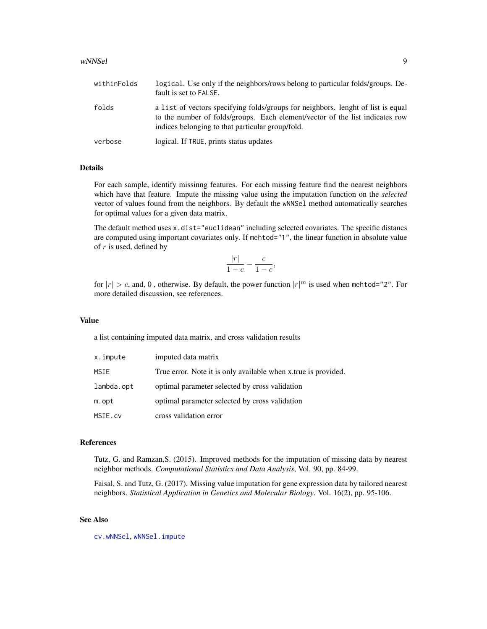#### <span id="page-8-0"></span>wNNSel 99

| withinFolds | logical. Use only if the neighbors/rows belong to particular folds/groups. De-<br>fault is set to FALSE.                                                                                                             |
|-------------|----------------------------------------------------------------------------------------------------------------------------------------------------------------------------------------------------------------------|
| folds       | a list of vectors specifying folds/groups for neighbors. lenght of list is equal<br>to the number of folds/groups. Each element/vector of the list indicates row<br>indices belonging to that particular group/fold. |
| verbose     | logical. If TRUE, prints status updates                                                                                                                                                                              |

#### Details

For each sample, identify missinng features. For each missing feature find the nearest neighbors which have that feature. Impute the missing value using the imputation function on the *selected* vector of values found from the neighbors. By default the wNNSel method automatically searches for optimal values for a given data matrix.

The default method uses x.dist="euclidean" including selected covariates. The specific distancs are computed using important covariates only. If mehtod="1", the linear function in absolute value of  $r$  is used, defined by

$$
\frac{|r|}{1-c} - \frac{c}{1-c},
$$

for  $|r| > c$ , and, 0, otherwise. By default, the power function  $|r|^m$  is used when mehtod="2". For more detailed discussion, see references.

#### Value

a list containing imputed data matrix, and cross validation results

| x.impute   | imputed data matrix                                            |
|------------|----------------------------------------------------------------|
| MSIE       | True error. Note it is only available when x true is provided. |
| lambda.opt | optimal parameter selected by cross validation                 |
| m.opt      | optimal parameter selected by cross validation                 |
| MSIE.cv    | cross validation error                                         |

#### References

Tutz, G. and Ramzan,S. (2015). Improved methods for the imputation of missing data by nearest neighbor methods. *Computational Statistics and Data Analysis*, Vol. 90, pp. 84-99.

Faisal, S. and Tutz, G. (2017). Missing value imputation for gene expression data by tailored nearest neighbors. *Statistical Application in Genetics and Molecular Biology*. Vol. 16(2), pp. 95-106.

#### See Also

[cv.wNNSel](#page-5-1), [wNNSel.impute](#page-9-1)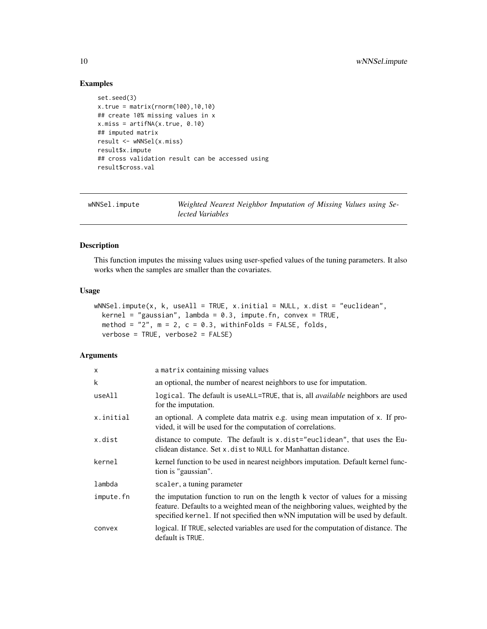#### Examples

```
set.seed(3)
x.true = matrix(rnorm(100), 10, 10)## create 10% missing values in x
x.miss = artifNA(x,true, 0.10)## imputed matrix
result <- wNNSel(x.miss)
result$x.impute
## cross validation result can be accessed using
result$cross.val
```
<span id="page-9-1"></span>

| wNNSel.impute | Weighted Nearest Neighbor Imputation of Missing Values using Se- |
|---------------|------------------------------------------------------------------|
|               | lected Variables                                                 |

#### Description

This function imputes the missing values using user-spefied values of the tuning parameters. It also works when the samples are smaller than the covariates.

#### Usage

```
wNNSel.impute(x, k, useAll = TRUE, x.initial = NULL, x.dist = "euclidean",
 kernel = "gaussian", lambda = 0.3, impute.fn, convex = TRUE,method = "2", m = 2, c = 0.3, withinFolds = FALSE, folds,
 verbose = TRUE, verbose2 = FALSE)
```
#### Arguments

| x         | a matrix containing missing values                                                                                                                                                                                                                  |
|-----------|-----------------------------------------------------------------------------------------------------------------------------------------------------------------------------------------------------------------------------------------------------|
| k         | an optional, the number of nearest neighbors to use for imputation.                                                                                                                                                                                 |
| useAll    | logical. The default is useALL=TRUE, that is, all <i>available</i> neighbors are used<br>for the imputation.                                                                                                                                        |
| x.initial | an optional. A complete data matrix e.g. using mean imputation of x. If pro-<br>vided, it will be used for the computation of correlations.                                                                                                         |
| x.dist    | distance to compute. The default is $x$ dist="euclidean", that uses the Eu-<br>clidean distance. Set x, dist to NULL for Manhattan distance.                                                                                                        |
| kernel    | kernel function to be used in nearest neighbors imputation. Default kernel func-<br>tion is "gaussian".                                                                                                                                             |
| lambda    | scaler, a tuning parameter                                                                                                                                                                                                                          |
| impute.fn | the imputation function to run on the length k vector of values for a missing<br>feature. Defaults to a weighted mean of the neighboring values, weighted by the<br>specified kernel. If not specified then wNN imputation will be used by default. |
| convex    | logical. If TRUE, selected variables are used for the computation of distance. The<br>default is TRUE.                                                                                                                                              |

<span id="page-9-0"></span>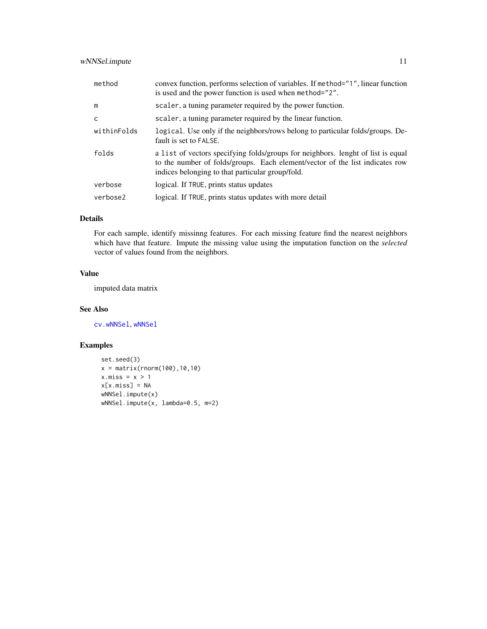<span id="page-10-0"></span>

| method       | convex function, performs selection of variables. If method="1", linear function<br>is used and the power function is used when method="2".                                                                          |
|--------------|----------------------------------------------------------------------------------------------------------------------------------------------------------------------------------------------------------------------|
| m            | scaler, a tuning parameter required by the power function.                                                                                                                                                           |
| $\mathsf{C}$ | scaler, a tuning parameter required by the linear function.                                                                                                                                                          |
| withinFolds  | logical. Use only if the neighbors/rows belong to particular folds/groups. De-<br>fault is set to FALSE.                                                                                                             |
| folds        | a list of vectors specifying folds/groups for neighbors. lenght of list is equal<br>to the number of folds/groups. Each element/vector of the list indicates row<br>indices belonging to that particular group/fold. |
| verbose      | logical. If TRUE, prints status updates                                                                                                                                                                              |
| verbose2     | logical. If TRUE, prints status updates with more detail                                                                                                                                                             |

### Details

For each sample, identify missinng features. For each missing feature find the nearest neighbors which have that feature. Impute the missing value using the imputation function on the *selected* vector of values found from the neighbors.

#### Value

imputed data matrix

#### See Also

[cv.wNNSel](#page-5-1), [wNNSel](#page-7-1)

### Examples

```
set.seed(3)
x = matrix(rnorm(100), 10, 10)x.miss = x > 1x[x.miss] = NA
wNNSel.impute(x)
wNNSel.impute(x, lambda=0.5, m=2)
```